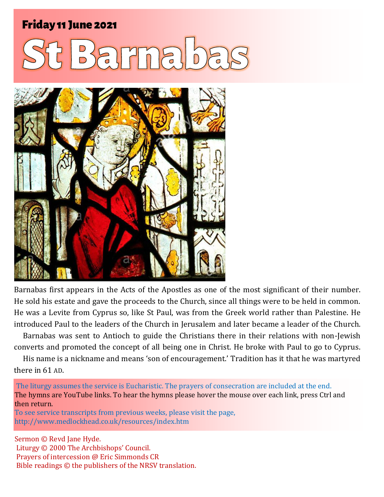### Friday 11 June 2021 1 **St Barnabas** Friday 11 June 2021





Barnabas first appears in the Acts of the Apostles as one of the most significant of their number. He sold his estate and gave the proceeds to the Church, since all things were to be held in common. He was a Levite from Cyprus so, like St Paul, was from the Greek world rather than Palestine. He introduced Paul to the leaders of the Church in Jerusalem and later became a leader of the Church.

Barnabas was sent to Antioch to guide the Christians there in their relations with non-Jewish converts and promoted the concept of all being one in Christ. He broke with Paul to go to Cyprus.

His name is a nickname and means 'son of encouragement.' Tradition has it that he was martyred there in 61 AD.

The liturgy assumes the service is Eucharistic. The prayers of consecration are included at the end. The hymns are YouTube links. To hear the hymns please hover the mouse over each link, press Ctrl and then return.

To see service transcripts from previous weeks, please visit the page, <http://www.medlockhead.co.uk/resources/index.htm>

Sermon © Revd Jane Hyde. Liturgy © 2000 The Archbishops' Council. Prayers of intercession @ Eric Simmonds CR Bible readings © the publishers of the NRSV translation.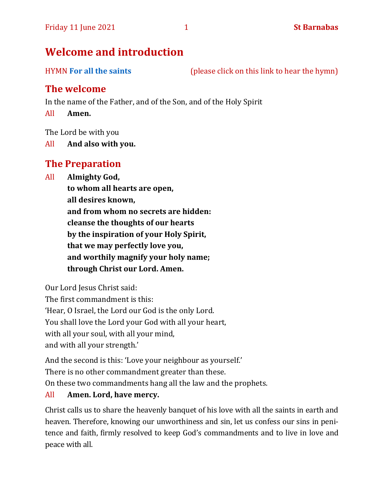### **Welcome and introduction**

HYMN **[For all the saints](https://www.youtube.com/watch?v=WbPshOGxpew)** (please click on this link to hear the hymn)

### **The welcome**

In the name of the Father, and of the Son, and of the Holy Spirit

All **Amen.**

The Lord be with you

All **And also with you.**

### **The Preparation**

All **Almighty God,**

**to whom all hearts are open, all desires known, and from whom no secrets are hidden: cleanse the thoughts of our hearts by the inspiration of your Holy Spirit, that we may perfectly love you, and worthily magnify your holy name; through Christ our Lord. Amen.**

Our Lord Jesus Christ said:

The first commandment is this: 'Hear, O Israel, the Lord our God is the only Lord. You shall love the Lord your God with all your heart,

with all your soul, with all your mind,

and with all your strength.'

And the second is this: 'Love your neighbour as yourself.'

There is no other commandment greater than these.

On these two commandments hang all the law and the prophets.

### All **Amen. Lord, have mercy.**

Christ calls us to share the heavenly banquet of his love with all the saints in earth and heaven. Therefore, knowing our unworthiness and sin, let us confess our sins in penitence and faith, firmly resolved to keep God's commandments and to live in love and peace with all.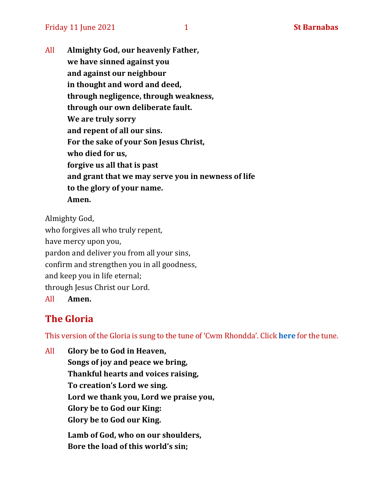Friday 11 June 2021 1 **St Barnabas** 

All **Almighty God, our heavenly Father, we have sinned against you and against our neighbour in thought and word and deed, through negligence, through weakness, through our own deliberate fault. We are truly sorry and repent of all our sins. For the sake of your Son Jesus Christ, who died for us, forgive us all that is past and grant that we may serve you in newness of life to the glory of your name. Amen.**

Almighty God, who forgives all who truly repent, have mercy upon you, pardon and deliver you from all your sins, confirm and strengthen you in all goodness, and keep you in life eternal; through Jesus Christ our Lord.

All **Amen.**

### **The Gloria**

This version of the Gloria is sung to the tune of 'Cwm Rhondda'. Click **[here](about:blank)** for the tune.

All **Glory be to God in Heaven, Songs of joy and peace we bring, Thankful hearts and voices raising, To creation's Lord we sing. Lord we thank you, Lord we praise you, Glory be to God our King: Glory be to God our King. Lamb of God, who on our shoulders, Bore the load of this world's sin;**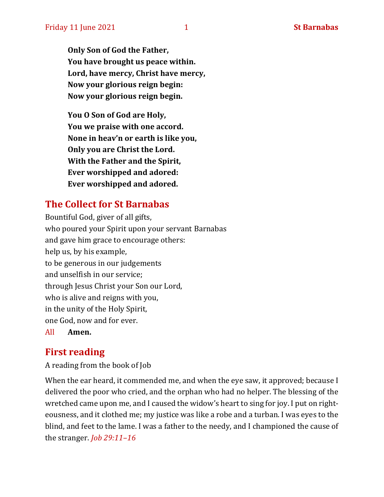**Only Son of God the Father, You have brought us peace within. Lord, have mercy, Christ have mercy, Now your glorious reign begin: Now your glorious reign begin.**

**You O Son of God are Holy, You we praise with one accord. None in heav'n or earth is like you, Only you are Christ the Lord. With the Father and the Spirit, Ever worshipped and adored: Ever worshipped and adored.**

### **The Collect for St Barnabas**

Bountiful God, giver of all gifts, who poured your Spirit upon your servant Barnabas and gave him grace to encourage others: help us, by his example, to be generous in our judgements and unselfish in our service; through Jesus Christ your Son our Lord, who is alive and reigns with you, in the unity of the Holy Spirit, one God, now and for ever. All **Amen.**

### **First reading**

A reading from the book of Job

When the ear heard, it commended me, and when the eye saw, it approved; because I delivered the poor who cried, and the orphan who had no helper. The blessing of the wretched came upon me, and I caused the widow's heart to sing for joy. I put on righteousness, and it clothed me; my justice was like a robe and a turban. I was eyes to the blind, and feet to the lame. I was a father to the needy, and I championed the cause of the stranger. *Job 29:11–16*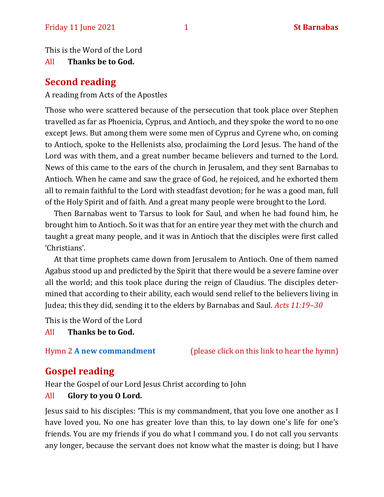This is the Word of the Lord

All **Thanks be to God.**

### **Second reading**

A reading from Acts of the Apostles

Those who were scattered because of the persecution that took place over Stephen travelled as far as Phoenicia, Cyprus, and Antioch, and they spoke the word to no one except Jews. But among them were some men of Cyprus and Cyrene who, on coming to Antioch, spoke to the Hellenists also, proclaiming the Lord Jesus. The hand of the Lord was with them, and a great number became believers and turned to the Lord. News of this came to the ears of the church in Jerusalem, and they sent Barnabas to Antioch. When he came and saw the grace of God, he rejoiced, and he exhorted them all to remain faithful to the Lord with steadfast devotion; for he was a good man, full of the Holy Spirit and of faith. And a great many people were brought to the Lord.

Then Barnabas went to Tarsus to look for Saul, and when he had found him, he brought him to Antioch. So it was that for an entire year they met with the church and taught a great many people, and it was in Antioch that the disciples were first called 'Christians'.

At that time prophets came down from Jerusalem to Antioch. One of them named Agabus stood up and predicted by the Spirit that there would be a severe famine over all the world; and this took place during the reign of Claudius. The disciples determined that according to their ability, each would send relief to the believers living in Judea; this they did, sending it to the elders by Barnabas and Saul. *Acts 11:19–30*

This is the Word of the Lord

All **Thanks be to God.**

Hymn 2 **[A new commandment](https://www.youtube.com/watch?v=jT0ygUgPvP0)** (please click on this link to hear the hymn)

### **Gospel reading**

Hear the Gospel of our Lord Jesus Christ according to John

### All **Glory to you O Lord.**

Jesus said to his disciples: 'This is my commandment, that you love one another as I have loved you. No one has greater love than this, to lay down one's life for one's friends. You are my friends if you do what I command you. I do not call you servants any longer, because the servant does not know what the master is doing; but I have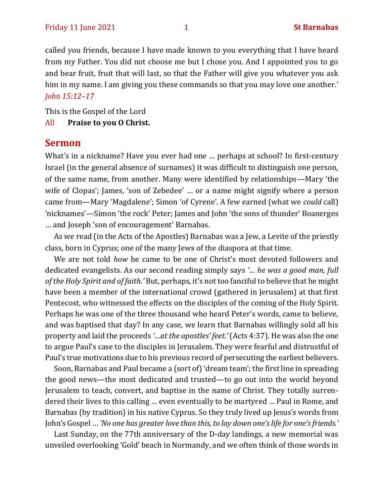called you friends, because I have made known to you everything that I have heard from my Father. You did not choose me but I chose you. And I appointed you to go and bear fruit, fruit that will last, so that the Father will give you whatever you ask him in my name. I am giving you these commands so that you may love one another.' *John 15:12–17*

This is the Gospel of the Lord

#### All **Praise to you O Christ.**

#### **Sermon**

What's in a nickname? Have you ever had one … perhaps at school? In first-century Israel (in the general absence of surnames) it was difficult to distinguish one person, of the same name, from another. Many were identified by relationships—Mary 'the wife of Clopas'; James, 'son of Zebedee' … or a name might signify where a person came from—Mary 'Magdalene'; Simon 'of Cyrene'. A few earned (what we *could* call) 'nicknames'—Simon 'the rock' Peter; James and John 'the sons of thunder' Boanerges … and Joseph 'son of encouragement' Barnabas.

As we read (in the Acts of the Apostles) Barnabas was a Jew, a Levite of the priestly class, born in Cyprus; one of the many Jews of the diaspora at that time.

We are not told *how* he came to be one of Christ's most devoted followers and dedicated evangelists. As our second reading simply says *'… he was a good man, full of the Holy Spirit and of faith.'* But, perhaps, it's not too fanciful to believe that he might have been a member of the international crowd (gathered in Jerusalem) at that first Pentecost, who witnessed the effects on the disciples of the coming of the Holy Spirit. Perhaps he was one of the three thousand who heard Peter's words, came to believe, and was baptised that day? In any case, we learn that Barnabas willingly sold all his property and laid the proceeds *'…at the apostles' feet.'*(Acts 4:37). He was also the one to argue Paul's case to the disciples in Jerusalem. They were fearful and distrustful of Paul's true motivations due to his previous record of persecuting the earliest believers.

Soon, Barnabas and Paul became a (sort of) 'dream team'; the first line in spreading the good news—the most dedicated and trusted—to go out into the world beyond Jerusalem to teach, convert, and baptise in the name of Christ. They totally surrendered their lives to this calling … even eventually to be martyred … Paul in Rome, and Barnabas (by tradition) in his native Cyprus. So they truly lived up Jesus's words from John's Gospel … *'No one has greater love than this, to lay down one's life for one's friends.'*

Last Sunday, on the 77th anniversary of the D-day landings, a new memorial was unveiled overlooking 'Gold' beach in Normandy, and we often think of those words in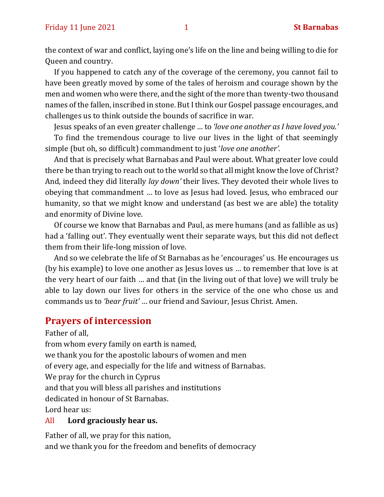the context of war and conflict, laying one's life on the line and being willing to die for Queen and country.

If you happened to catch any of the coverage of the ceremony, you cannot fail to have been greatly moved by some of the tales of heroism and courage shown by the men and women who were there, and the sight of the more than twenty-two thousand names of the fallen, inscribed in stone. But I think our Gospel passage encourages, and challenges us to think outside the bounds of sacrifice in war.

Jesus speaks of an even greater challenge … to *'love one another as I have loved you.'*

To find the tremendous courage to live our lives in the light of that seemingly simple (but oh, so difficult) commandment to just '*love one another'.* 

And that is precisely what Barnabas and Paul were about. What greater love could there be than trying to reach out to the world so that all might know the love of Christ? And, indeed they did literally *lay down'* their lives. They devoted their whole lives to obeying that commandment … to love as Jesus had loved. Jesus, who embraced our humanity, so that we might know and understand (as best we are able) the totality and enormity of Divine love.

Of course we know that Barnabas and Paul, as mere humans (and as fallible as us) had a 'falling out'. They eventually went their separate ways, but this did not deflect them from their life-long mission of love.

And so we celebrate the life of St Barnabas as he 'encourages' us. He encourages us (by his example) to love one another as Jesus loves us … to remember that love is at the very heart of our faith … and that (in the living out of that love) we will truly be able to lay down our lives for others in the service of the one who chose us and commands us to *'bear fruit'* … our friend and Saviour, Jesus Christ. Amen.

### **Prayers of intercession**

Father of all,

from whom every family on earth is named,

we thank you for the apostolic labours of women and men

of every age, and especially for the life and witness of Barnabas.

We pray for the church in Cyprus

and that you will bless all parishes and institutions

dedicated in honour of St Barnabas.

Lord hear us:

#### All **Lord graciously hear us.**

Father of all, we pray for this nation, and we thank you for the freedom and benefits of democracy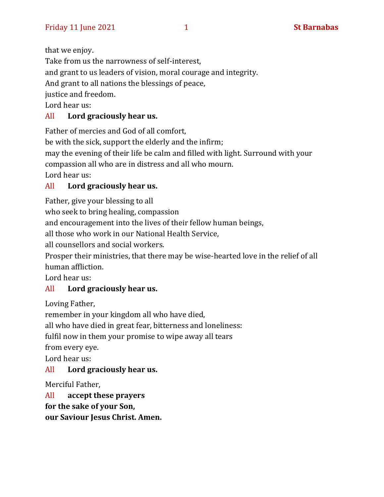that we enjoy.

Take from us the narrowness of self-interest,

and grant to us leaders of vision, moral courage and integrity.

And grant to all nations the blessings of peace,

justice and freedom.

Lord hear us:

### All **Lord graciously hear us.**

Father of mercies and God of all comfort,

be with the sick, support the elderly and the infirm;

may the evening of their life be calm and filled with light. Surround with your

compassion all who are in distress and all who mourn.

Lord hear us:

### All **Lord graciously hear us.**

Father, give your blessing to all

who seek to bring healing, compassion

and encouragement into the lives of their fellow human beings,

all those who work in our National Health Service,

all counsellors and social workers.

Prosper their ministries, that there may be wise-hearted love in the relief of all human affliction.

Lord hear us:

### All **Lord graciously hear us.**

Loving Father,

remember in your kingdom all who have died,

all who have died in great fear, bitterness and loneliness:

fulfil now in them your promise to wipe away all tears

from every eye.

Lord hear us:

### All **Lord graciously hear us.**

Merciful Father,

All **accept these prayers**

**for the sake of your Son,**

**our Saviour Jesus Christ. Amen.**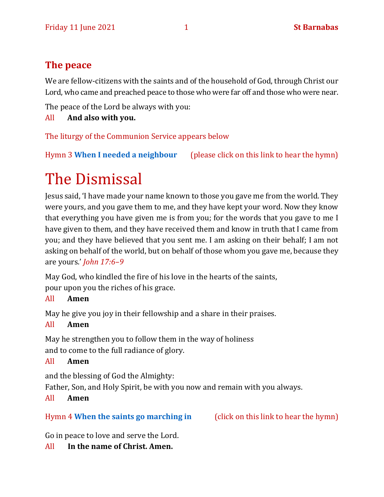### **The peace**

We are fellow-citizens with the saints and of the household of God, through Christ our Lord, who came and preached peace to those who were far off and those who were near.

The peace of the Lord be always with you:

All **And also with you.**

The liturgy of the Communion Service appears below

Hymn 3 **[When I needed a neighbour](https://www.youtube.com/watch?v=fExR7eOhJO0)** (please click on this link to hear the hymn)

# The Dismissal

Jesus said, 'I have made your name known to those you gave me from the world. They were yours, and you gave them to me, and they have kept your word. Now they know that everything you have given me is from you; for the words that you gave to me I have given to them, and they have received them and know in truth that I came from you; and they have believed that you sent me. I am asking on their behalf; I am not asking on behalf of the world, but on behalf of those whom you gave me, because they are yours.' *John 17:6–9*

May God, who kindled the fire of his love in the hearts of the saints, pour upon you the riches of his grace.

### All **Amen**

May he give you joy in their fellowship and a share in their praises.

### All **Amen**

May he strengthen you to follow them in the way of holiness and to come to the full radiance of glory.

### All **Amen**

and the blessing of God the Almighty:

Father, Son, and Holy Spirit, be with you now and remain with you always.

### All **Amen**

### Hymn 4 **[When the saints go marching in](https://www.youtube.com/watch?v=lkNPSlQbxNc)** (click on this link to hear the hymn)

Go in peace to love and serve the Lord.

### All **In the name of Christ. Amen.**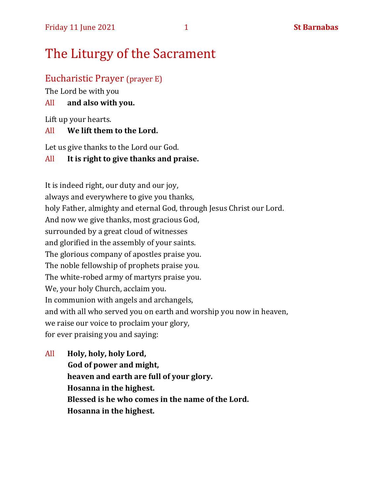## The Liturgy of the Sacrament

### Eucharistic Prayer (prayer E)

The Lord be with you

#### All **and also with you.**

Lift up your hearts.

#### All **We lift them to the Lord.**

Let us give thanks to the Lord our God.

#### All **It is right to give thanks and praise.**

It is indeed right, our duty and our joy, always and everywhere to give you thanks, holy Father, almighty and eternal God, through Jesus Christ our Lord. And now we give thanks, most gracious God, surrounded by a great cloud of witnesses and glorified in the assembly of your saints. The glorious company of apostles praise you. The noble fellowship of prophets praise you. The white-robed army of martyrs praise you. We, your holy Church, acclaim you. In communion with angels and archangels, and with all who served you on earth and worship you now in heaven, we raise our voice to proclaim your glory, for ever praising you and saying:

All **Holy, holy, holy Lord, God of power and might, heaven and earth are full of your glory. Hosanna in the highest. Blessed is he who comes in the name of the Lord. Hosanna in the highest.**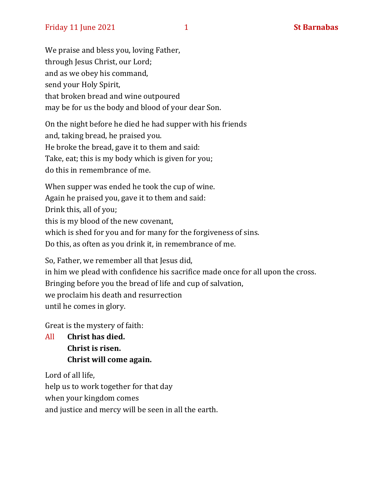We praise and bless you, loving Father, through Jesus Christ, our Lord; and as we obey his command, send your Holy Spirit, that broken bread and wine outpoured may be for us the body and blood of your dear Son.

On the night before he died he had supper with his friends and, taking bread, he praised you. He broke the bread, gave it to them and said: Take, eat; this is my body which is given for you; do this in remembrance of me.

When supper was ended he took the cup of wine. Again he praised you, gave it to them and said: Drink this, all of you; this is my blood of the new covenant, which is shed for you and for many for the forgiveness of sins. Do this, as often as you drink it, in remembrance of me.

So, Father, we remember all that Jesus did, in him we plead with confidence his sacrifice made once for all upon the cross. Bringing before you the bread of life and cup of salvation, we proclaim his death and resurrection until he comes in glory.

Great is the mystery of faith:

All **Christ has died. Christ is risen. Christ will come again.**

Lord of all life,

help us to work together for that day

when your kingdom comes

and justice and mercy will be seen in all the earth.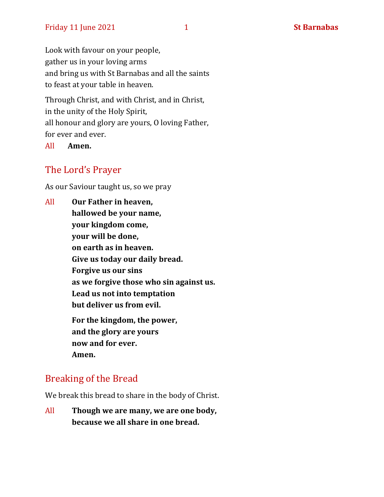Look with favour on your people, gather us in your loving arms and bring us with St Barnabas and all the saints to feast at your table in heaven.

Through Christ, and with Christ, and in Christ, in the unity of the Holy Spirit, all honour and glory are yours, O loving Father, for ever and ever.

All **Amen.**

### The Lord's Prayer

As our Saviour taught us, so we pray

All **Our Father in heaven, hallowed be your name, your kingdom come, your will be done, on earth as in heaven. Give us today our daily bread. Forgive us our sins as we forgive those who sin against us. Lead us not into temptation but deliver us from evil. For the kingdom, the power, and the glory are yours now and for ever. Amen.**

### Breaking of the Bread

We break this bread to share in the body of Christ.

All **Though we are many, we are one body, because we all share in one bread.**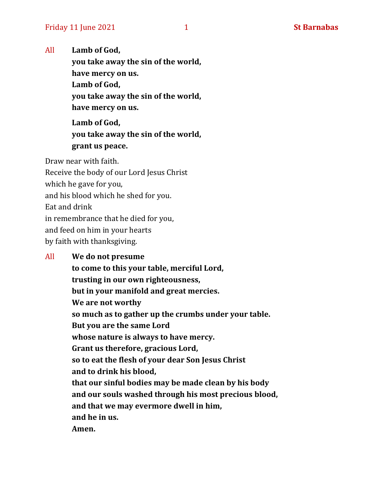All **Lamb of God,**

**you take away the sin of the world, have mercy on us. Lamb of God, you take away the sin of the world, have mercy on us.**

**Lamb of God, you take away the sin of the world, grant us peace.**

Draw near with faith. Receive the body of our Lord Jesus Christ which he gave for you, and his blood which he shed for you. Eat and drink in remembrance that he died for you, and feed on him in your hearts by faith with thanksgiving.

### All **We do not presume to come to this your table, merciful Lord, trusting in our own righteousness, but in your manifold and great mercies. We are not worthy so much as to gather up the crumbs under your table. But you are the same Lord whose nature is always to have mercy. Grant us therefore, gracious Lord, so to eat the flesh of your dear Son Jesus Christ and to drink his blood, that our sinful bodies may be made clean by his body and our souls washed through his most precious blood, and that we may evermore dwell in him, and he in us. Amen.**